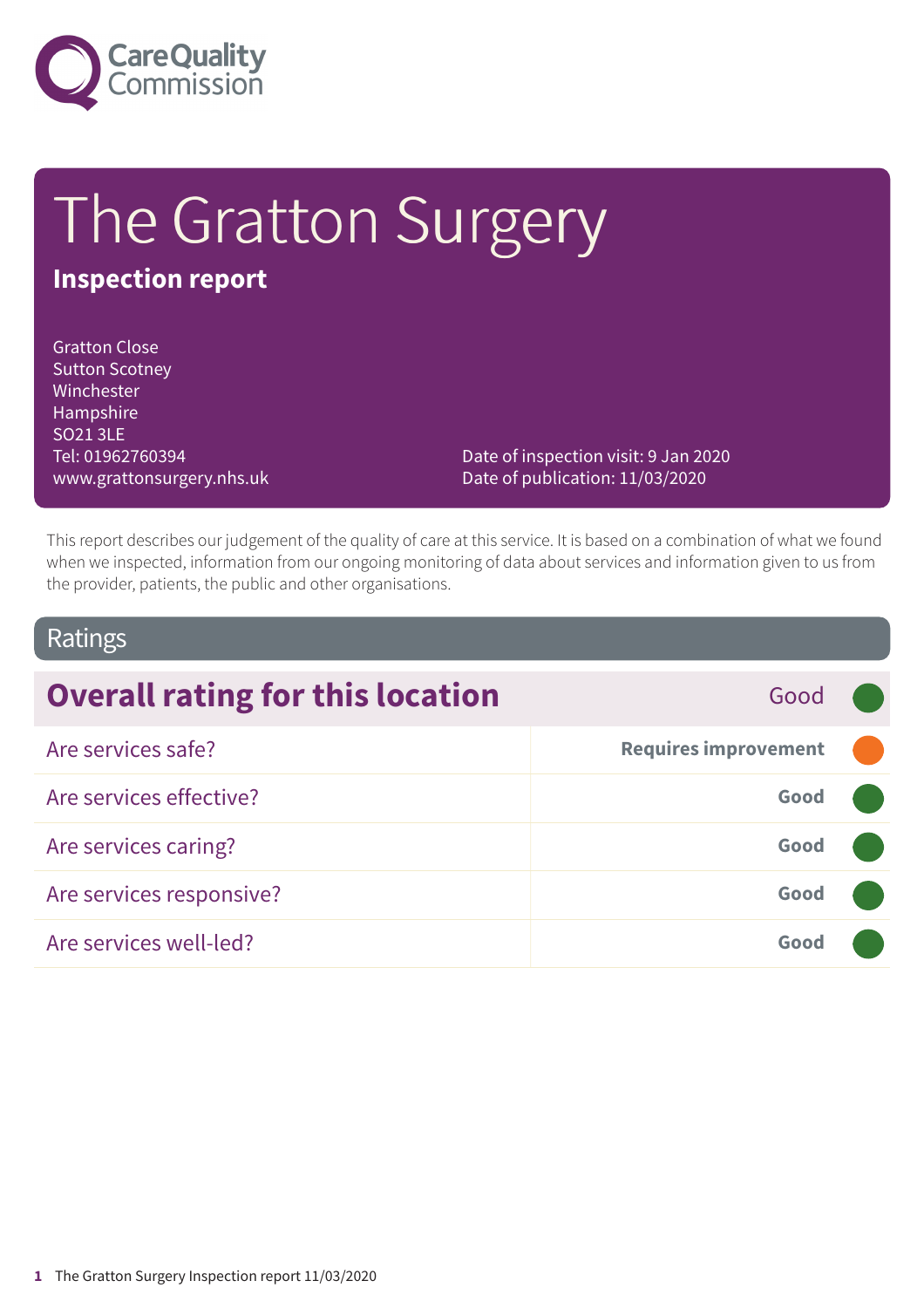

# The Gratton Surgery

### **Inspection report**

Gratton Close Sutton Scotney Winchester Hampshire SO21 3LE Tel: 01962760394 www.grattonsurgery.nhs.uk

Date of inspection visit: 9 Jan 2020 Date of publication: 11/03/2020

This report describes our judgement of the quality of care at this service. It is based on a combination of what we found when we inspected, information from our ongoing monitoring of data about services and information given to us from the provider, patients, the public and other organisations.

#### Ratings

| <b>Overall rating for this location</b><br>Good |                             |  |
|-------------------------------------------------|-----------------------------|--|
| Are services safe?                              | <b>Requires improvement</b> |  |
| Are services effective?                         | Good                        |  |
| Are services caring?                            | Good                        |  |
| Are services responsive?                        | Good                        |  |
| Are services well-led?                          | Good                        |  |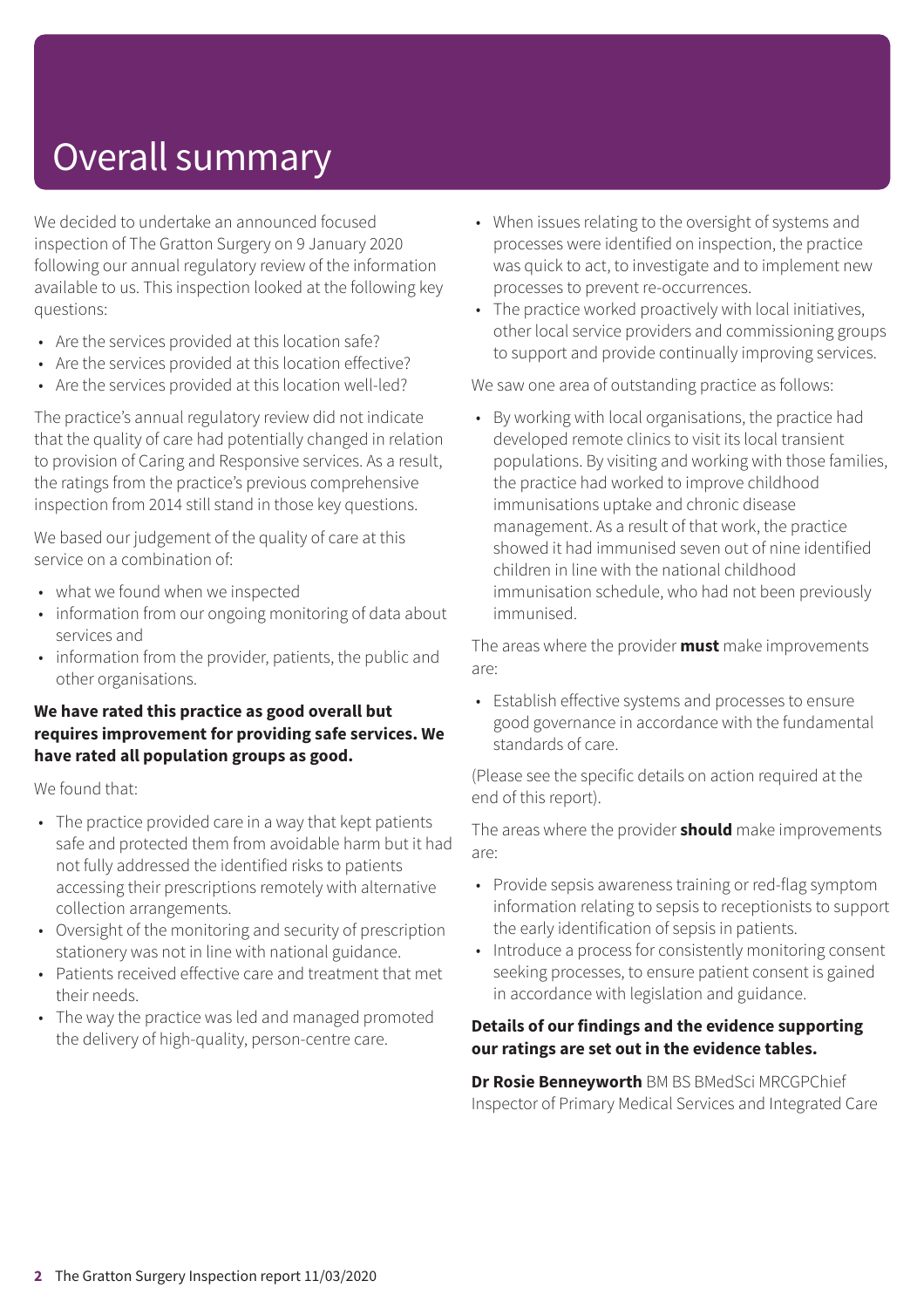# Overall summary

We decided to undertake an announced focused inspection of The Gratton Surgery on 9 January 2020 following our annual regulatory review of the information available to us. This inspection looked at the following key questions:

- Are the services provided at this location safe?
- Are the services provided at this location effective?
- Are the services provided at this location well-led?

The practice's annual regulatory review did not indicate that the quality of care had potentially changed in relation to provision of Caring and Responsive services. As a result, the ratings from the practice's previous comprehensive inspection from 2014 still stand in those key questions.

We based our judgement of the quality of care at this service on a combination of:

- what we found when we inspected
- information from our ongoing monitoring of data about services and
- information from the provider, patients, the public and other organisations.

#### **We have rated this practice as good overall but requires improvement for providing safe services. We have rated all population groups as good.**

We found that:

- The practice provided care in a way that kept patients safe and protected them from avoidable harm but it had not fully addressed the identified risks to patients accessing their prescriptions remotely with alternative collection arrangements.
- Oversight of the monitoring and security of prescription stationery was not in line with national guidance.
- Patients received effective care and treatment that met their needs.
- The way the practice was led and managed promoted the delivery of high-quality, person-centre care.
- When issues relating to the oversight of systems and processes were identified on inspection, the practice was quick to act, to investigate and to implement new processes to prevent re-occurrences.
- The practice worked proactively with local initiatives, other local service providers and commissioning groups to support and provide continually improving services.

We saw one area of outstanding practice as follows:

• By working with local organisations, the practice had developed remote clinics to visit its local transient populations. By visiting and working with those families, the practice had worked to improve childhood immunisations uptake and chronic disease management. As a result of that work, the practice showed it had immunised seven out of nine identified children in line with the national childhood immunisation schedule, who had not been previously immunised.

The areas where the provider **must** make improvements are:

• Establish effective systems and processes to ensure good governance in accordance with the fundamental standards of care.

(Please see the specific details on action required at the end of this report).

The areas where the provider **should** make improvements are:

- Provide sepsis awareness training or red-flag symptom information relating to sepsis to receptionists to support the early identification of sepsis in patients.
- Introduce a process for consistently monitoring consent seeking processes, to ensure patient consent is gained in accordance with legislation and guidance.

#### **Details of our findings and the evidence supporting our ratings are set out in the evidence tables.**

**Dr Rosie Benneyworth** BM BS BMedSci MRCGPChief Inspector of Primary Medical Services and Integrated Care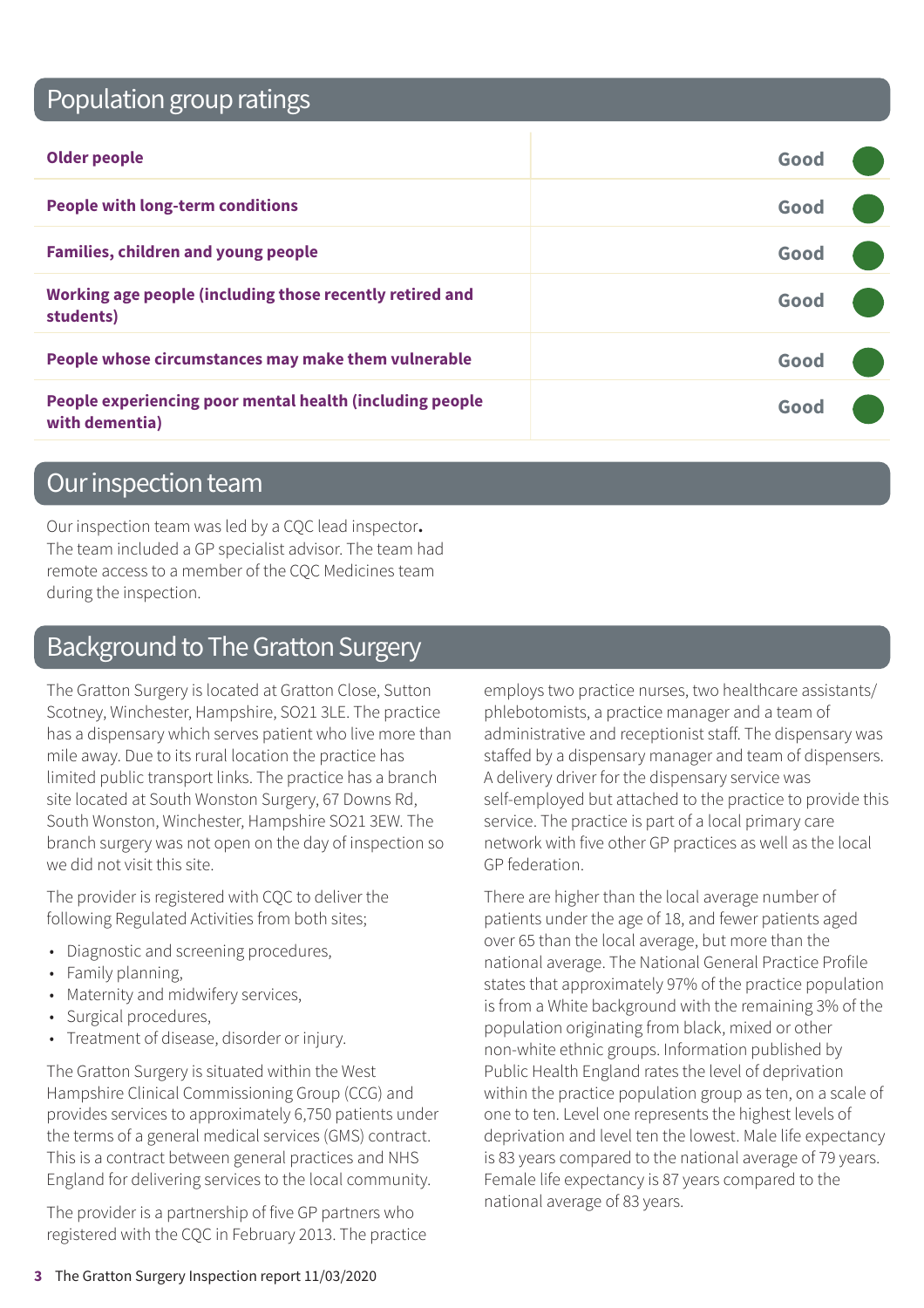## Population group ratings

| <b>Older people</b>                                                        | Good |  |
|----------------------------------------------------------------------------|------|--|
| <b>People with long-term conditions</b>                                    | Good |  |
| <b>Families, children and young people</b>                                 | Good |  |
| Working age people (including those recently retired and<br>students)      | Good |  |
| People whose circumstances may make them vulnerable                        | Good |  |
| People experiencing poor mental health (including people<br>with dementia) | Gooc |  |

#### Our inspection team

Our inspection team was led by a CQC lead inspector**.** The team included a GP specialist advisor. The team had remote access to a member of the CQC Medicines team during the inspection.

### Background to The Gratton Surgery

The Gratton Surgery is located at Gratton Close, Sutton Scotney, Winchester, Hampshire, SO21 3LE. The practice has a dispensary which serves patient who live more than mile away. Due to its rural location the practice has limited public transport links. The practice has a branch site located at South Wonston Surgery, 67 Downs Rd, South Wonston, Winchester, Hampshire SO21 3EW. The branch surgery was not open on the day of inspection so we did not visit this site.

The provider is registered with CQC to deliver the following Regulated Activities from both sites;

- Diagnostic and screening procedures,
- Family planning,
- Maternity and midwifery services,
- Surgical procedures,
- Treatment of disease, disorder or injury.

The Gratton Surgery is situated within the West Hampshire Clinical Commissioning Group (CCG) and provides services to approximately 6,750 patients under the terms of a general medical services (GMS) contract. This is a contract between general practices and NHS England for delivering services to the local community.

The provider is a partnership of five GP partners who registered with the CQC in February 2013. The practice employs two practice nurses, two healthcare assistants/ phlebotomists, a practice manager and a team of administrative and receptionist staff. The dispensary was staffed by a dispensary manager and team of dispensers. A delivery driver for the dispensary service was self-employed but attached to the practice to provide this service. The practice is part of a local primary care network with five other GP practices as well as the local GP federation.

There are higher than the local average number of patients under the age of 18, and fewer patients aged over 65 than the local average, but more than the national average. The National General Practice Profile states that approximately 97% of the practice population is from a White background with the remaining 3% of the population originating from black, mixed or other non-white ethnic groups. Information published by Public Health England rates the level of deprivation within the practice population group as ten, on a scale of one to ten. Level one represents the highest levels of deprivation and level ten the lowest. Male life expectancy is 83 years compared to the national average of 79 years. Female life expectancy is 87 years compared to the national average of 83 years.